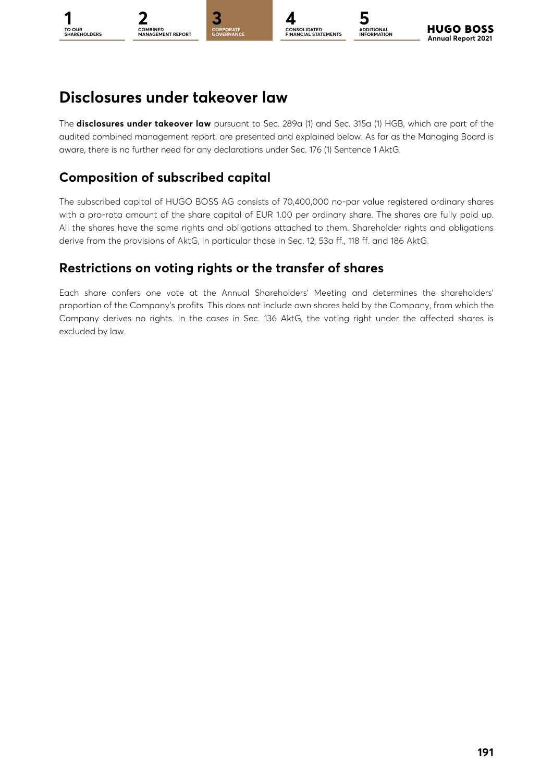

#### **CONSOLIDATED FINANCIAL STATEMENTS ADDITIONAL INFORMATION**

# **Disclosures under takeover law**

The **disclosures under takeover law** pursuant to Sec. 289a (1) and Sec. 315a (1) HGB, which are part of the audited combined management report, are presented and explained below. As far as the Managing Board is aware, there is no further need for any declarations under Sec. 176 (1) Sentence 1 AktG.

# **Composition of subscribed capital**

The subscribed capital of HUGO BOSS AG consists of 70,400,000 no-par value registered ordinary shares with a pro-rata amount of the share capital of EUR 1.00 per ordinary share. The shares are fully paid up. All the shares have the same rights and obligations attached to them. Shareholder rights and obligations derive from the provisions of AktG, in particular those in Sec. 12, 53a ff., 118 ff. and 186 AktG.

# **Restrictions on voting rights or the transfer of shares**

Each share confers one vote at the Annual Shareholders' Meeting and determines the shareholders' proportion of the Company's profits. This does not include own shares held by the Company, from which the Company derives no rights. In the cases in Sec. 136 AktG, the voting right under the affected shares is excluded by law.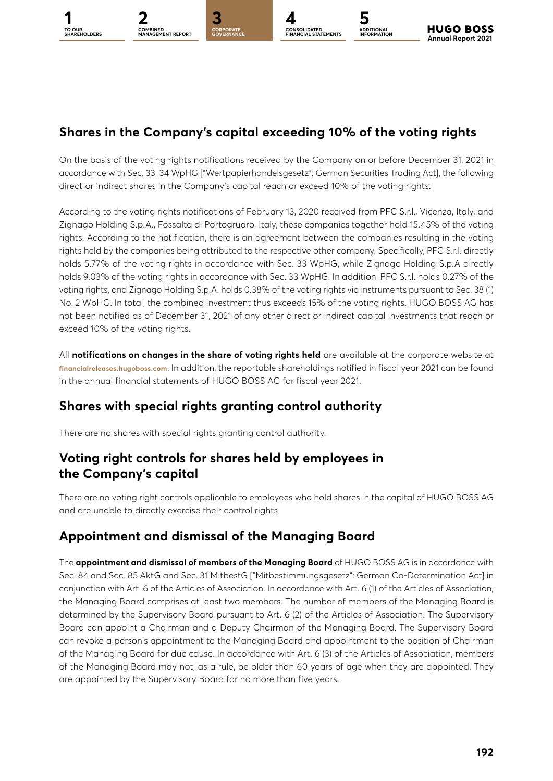**ADDITIONAL INFORMATION**

# **Shares in the Company's capital exceeding 10% of the voting rights**

On the basis of the voting rights notifications received by the Company on or before December 31, 2021 in accordance with Sec. 33, 34 WpHG ["Wertpapierhandelsgesetz": German Securities Trading Act], the following direct or indirect shares in the Company's capital reach or exceed 10% of the voting rights:

According to the voting rights notifications of February 13, 2020 received from PFC S.r.l., Vicenza, Italy, and Zignago Holding S.p.A., Fossalta di Portogruaro, Italy, these companies together hold 15.45% of the voting rights. According to the notification, there is an agreement between the companies resulting in the voting rights held by the companies being attributed to the respective other company. Specifically, PFC S.r.l. directly holds 5.77% of the voting rights in accordance with Sec. 33 WpHG, while Zignago Holding S.p.A directly holds 9.03% of the voting rights in accordance with Sec. 33 WpHG. In addition, PFC S.r.l. holds 0.27% of the voting rights, and Zignago Holding S.p.A. holds 0.38% of the voting rights via instruments pursuant to Sec. 38 (1) No. 2 WpHG. In total, the combined investment thus exceeds 15% of the voting rights. HUGO BOSS AG has not been notified as of December 31, 2021 of any other direct or indirect capital investments that reach or exceed 10% of the voting rights.

All **notifications on changes in the share of voting rights held** are available at the corporate website at **[financialreleases.hugoboss.com](http://financialreleases.hugoboss.com)**. In addition, the reportable shareholdings notified in fiscal year 2021 can be found in the annual financial statements of HUGO BOSS AG for fiscal year 2021.

#### **Shares with special rights granting control authority**

There are no shares with special rights granting control authority.

#### **Voting right controls for shares held by employees in the Company's capital**

There are no voting right controls applicable to employees who hold shares in the capital of HUGO BOSS AG and are unable to directly exercise their control rights.

#### **Appointment and dismissal of the Managing Board**

The **appointment and dismissal of members of the Managing Board** of HUGO BOSS AG is in accordance with Sec. 84 and Sec. 85 AktG and Sec. 31 MitbestG ["Mitbestimmungsgesetz": German Co-Determination Act] in conjunction with Art. 6 of the Articles of Association. In accordance with Art. 6 (1) of the Articles of Association, the Managing Board comprises at least two members. The number of members of the Managing Board is determined by the Supervisory Board pursuant to Art. 6 (2) of the Articles of Association. The Supervisory Board can appoint a Chairman and a Deputy Chairman of the Managing Board. The Supervisory Board can revoke a person's appointment to the Managing Board and appointment to the position of Chairman of the Managing Board for due cause. In accordance with Art. 6 (3) of the Articles of Association, members of the Managing Board may not, as a rule, be older than 60 years of age when they are appointed. They are appointed by the Supervisory Board for no more than five years.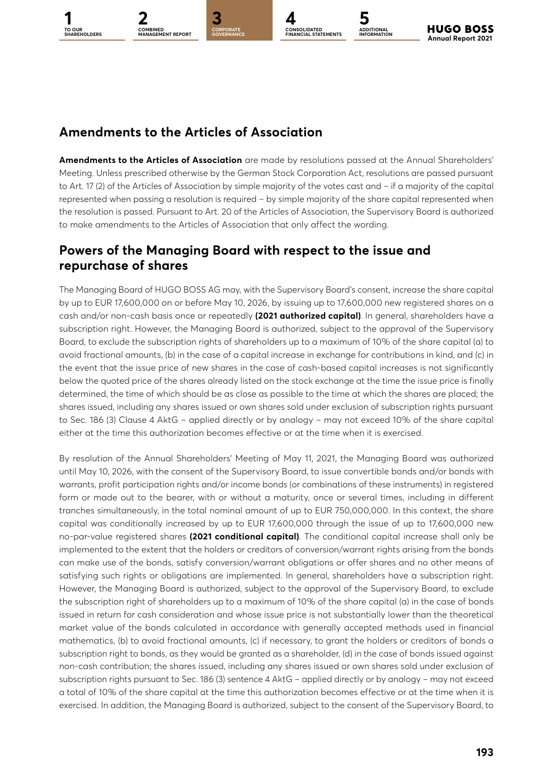**TO OUR** 

**1 [3](#page--1-0)2 4 5 CORPORATE COMBINED MANAGEMENT REPORT**

**GOVERNANCE**

**CONSOLIDATED FINANCIAL STATEMENTS**

**ADDITIONAL INFORMATION**

**HUGO BOSS Annual Report 2021** 

### **Amendments to the Articles of Association**

**Amendments to the Articles of Association** are made by resolutions passed at the Annual Shareholders' Meeting. Unless prescribed otherwise by the German Stock Corporation Act, resolutions are passed pursuant to Art. 17 (2) of the Articles of Association by simple majority of the votes cast and – if a majority of the capital represented when passing a resolution is required – by simple majority of the share capital represented when the resolution is passed. Pursuant to Art. 20 of the Articles of Association, the Supervisory Board is authorized to make amendments to the Articles of Association that only affect the wording.

#### **Powers of the Managing Board with respect to the issue and repurchase of shares**

The Managing Board of HUGO BOSS AG may, with the Supervisory Board's consent, increase the share capital by up to EUR 17,600,000 on or before May 10, 2026, by issuing up to 17,600,000 new registered shares on a cash and/or non-cash basis once or repeatedly **(2021 authorized capital)**. In general, shareholders have a subscription right. However, the Managing Board is authorized, subject to the approval of the Supervisory Board, to exclude the subscription rights of shareholders up to a maximum of 10% of the share capital (a) to avoid fractional amounts, (b) in the case of a capital increase in exchange for contributions in kind, and (c) in the event that the issue price of new shares in the case of cash-based capital increases is not significantly below the quoted price of the shares already listed on the stock exchange at the time the issue price is finally determined, the time of which should be as close as possible to the time at which the shares are placed; the shares issued, including any shares issued or own shares sold under exclusion of subscription rights pursuant to Sec. 186 (3) Clause 4 AktG – applied directly or by analogy – may not exceed 10% of the share capital either at the time this authorization becomes effective or at the time when it is exercised.

By resolution of the Annual Shareholders' Meeting of May 11, 2021, the Managing Board was authorized until May 10, 2026, with the consent of the Supervisory Board, to issue convertible bonds and/or bonds with warrants, profit participation rights and/or income bonds (or combinations of these instruments) in registered form or made out to the bearer, with or without a maturity, once or several times, including in different tranches simultaneously, in the total nominal amount of up to EUR 750,000,000. In this context, the share capital was conditionally increased by up to EUR 17,600,000 through the issue of up to 17,600,000 new no-par-value registered shares **(2021 conditional capital)**. The conditional capital increase shall only be implemented to the extent that the holders or creditors of conversion/warrant rights arising from the bonds can make use of the bonds, satisfy conversion/warrant obligations or offer shares and no other means of satisfying such rights or obligations are implemented. In general, shareholders have a subscription right. However, the Managing Board is authorized, subject to the approval of the Supervisory Board, to exclude the subscription right of shareholders up to a maximum of 10% of the share capital (a) in the case of bonds issued in return for cash consideration and whose issue price is not substantially lower than the theoretical market value of the bonds calculated in accordance with generally accepted methods used in financial mathematics, (b) to avoid fractional amounts, (c) if necessary, to grant the holders or creditors of bonds a subscription right to bonds, as they would be granted as a shareholder, (d) in the case of bonds issued against non-cash contribution; the shares issued, including any shares issued or own shares sold under exclusion of subscription rights pursuant to Sec. 186 (3) sentence 4 AktG – applied directly or by analogy – may not exceed a total of 10% of the share capital at the time this authorization becomes effective or at the time when it is exercised. In addition, the Managing Board is authorized, subject to the consent of the Supervisory Board, to